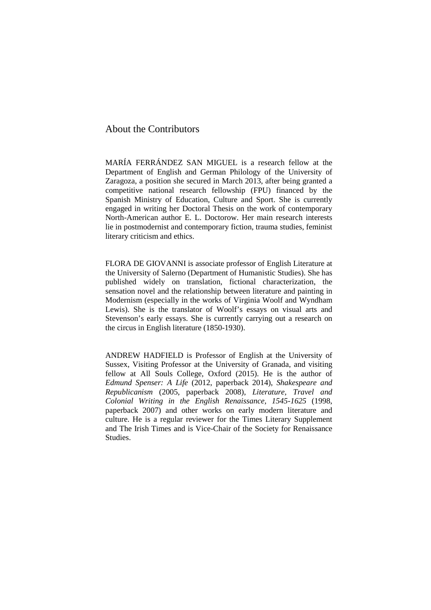## About the Contributors

MARÍA FERRÁNDEZ SAN MIGUEL is a research fellow at the Department of English and German Philology of the University of Zaragoza, a position she secured in March 2013, after being granted a competitive national research fellowship (FPU) financed by the Spanish Ministry of Education, Culture and Sport. She is currently engaged in writing her Doctoral Thesis on the work of contemporary North-American author E. L. Doctorow. Her main research interests lie in postmodernist and contemporary fiction, trauma studies, feminist literary criticism and ethics.

FLORA DE GIOVANNI is associate professor of English Literature at the University of Salerno (Department of Humanistic Studies). She has published widely on translation, fictional characterization, the sensation novel and the relationship between literature and painting in Modernism (especially in the works of Virginia Woolf and Wyndham Lewis). She is the translator of Woolf's essays on visual arts and Stevenson's early essays. She is currently carrying out a research on the circus in English literature (1850-1930).

ANDREW HADFIELD is Professor of English at the University of Sussex, Visiting Professor at the University of Granada, and visiting fellow at All Souls College, Oxford (2015). He is the author of *Edmund Spenser: A Life* (2012, paperback 2014), *Shakespeare and Republicanism* (2005, paperback 2008), *Literature, Travel and Colonial Writing in the English Renaissance, 1545-1625* (1998, paperback 2007) and other works on early modern literature and culture. He is a regular reviewer for the Times Literary Supplement and The Irish Times and is Vice-Chair of the Society for Renaissance Studies.